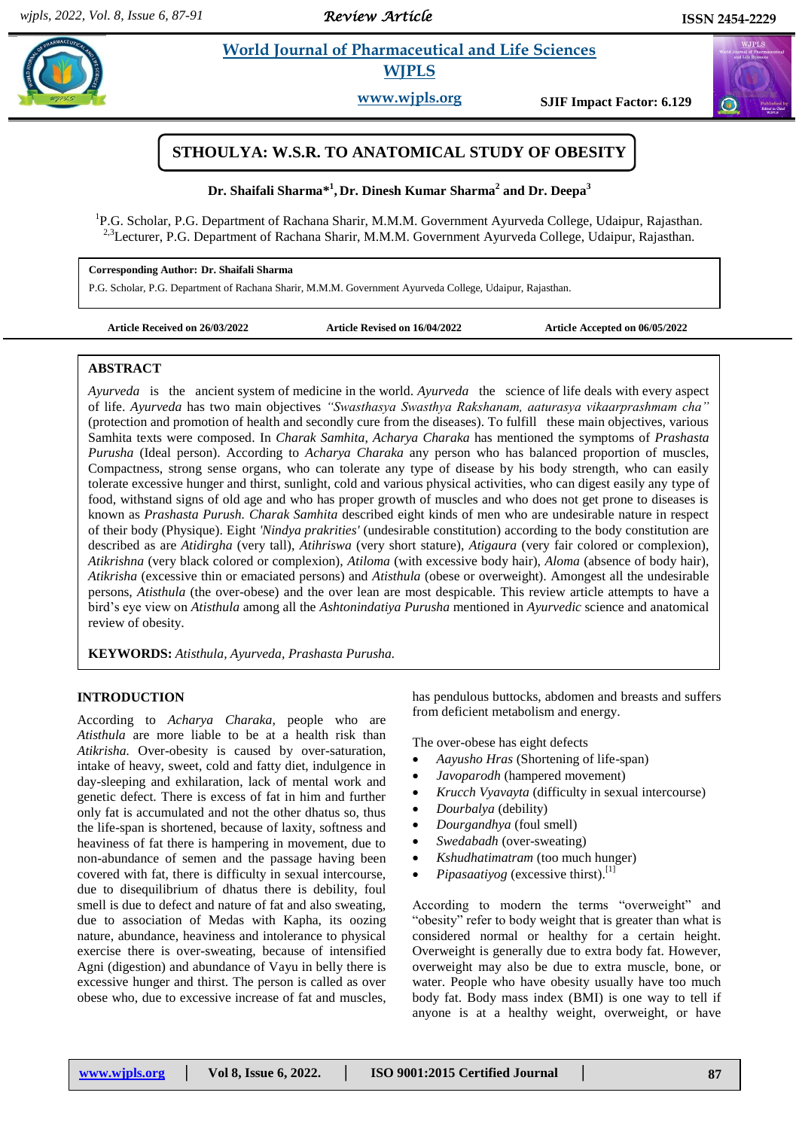*Review Article* 

 $\sigma$ 

# **Share** *E* **World Journal of Pharmaceutical and Life Sciences WJPLS**

**www.wjpls.org SJIF Impact Factor: 6.129**



**Dr. Shaifali Sharma\* 1 , Dr. Dinesh Kumar Sharma<sup>2</sup> and Dr. Deepa<sup>3</sup>**

<sup>1</sup>P.G. Scholar, P.G. Department of Rachana Sharir, M.M.M. Government Ayurveda College, Udaipur, Rajasthan. <sup>2,3</sup>Lecturer, P.G. Department of Rachana Sharir, M.M.M. Government Ayurveda College, Udaipur, Rajasthan.

### **Corresponding Author: Dr. Shaifali Sharma**

P.G. Scholar, P.G. Department of Rachana Sharir, M.M.M. Government Ayurveda College, Udaipur, Rajasthan.

Article Revised on  $16/04/2022$  Article Accepted on  $06/05/2022$ 

### **ABSTRACT**

*Ayurveda* is the ancient system of medicine in the world. *Ayurveda* the science of life deals with every aspect of life. *Ayurveda* has two main objectives *"Swasthasya Swasthya Rakshanam, aaturasya vikaarprashmam cha"* (protection and promotion of health and secondly cure from the diseases). To fulfill these main objectives, various Samhita texts were composed. In *Charak Samhita*, *Acharya Charaka* has mentioned the symptoms of *Prashasta Purusha* (Ideal person). According to *Acharya Charaka* any person who has balanced proportion of muscles, Compactness, strong sense organs, who can tolerate any type of disease by his body strength, who can easily tolerate excessive hunger and thirst, sunlight, cold and various physical activities, who can digest easily any type of food, withstand signs of old age and who has proper growth of muscles and who does not get prone to diseases is known as *Prashasta Purush. Charak Samhita* described eight kinds of men who are undesirable nature in respect of their body (Physique). Eight *'Nindya prakrities'* (undesirable constitution) according to the body constitution are described as are *Atidirgha* (very tall), *Atihriswa* (very short stature), *Atigaura* (very fair colored or complexion), *Atikrishna* (very black colored or complexion), *Atiloma* (with excessive body hair), *Aloma* (absence of body hair), *Atikrisha* (excessive thin or emaciated persons) and *Atisthula* (obese or overweight). Amongest all the undesirable persons, *Atisthula* (the over-obese) and the over lean are most despicable. This review article attempts to have a bird"s eye view on *Atisthula* among all the *Ashtonindatiya Purusha* mentioned in *Ayurvedic* science and anatomical review of obesity.

**KEYWORDS:** *Atisthula, Ayurveda, Prashasta Purusha.*

# **INTRODUCTION**

According to *Acharya Charaka,* people who are *Atisthula* are more liable to be at a health risk than *Atikrisha.* Over-obesity is caused by over-saturation, intake of heavy, sweet, cold and fatty diet, indulgence in day-sleeping and exhilaration, lack of mental work and genetic defect. There is excess of fat in him and further only fat is accumulated and not the other dhatus so, thus the life-span is shortened, because of laxity, softness and heaviness of fat there is hampering in movement, due to non-abundance of semen and the passage having been covered with fat, there is difficulty in sexual intercourse, due to disequilibrium of dhatus there is debility, foul smell is due to defect and nature of fat and also sweating, due to association of Medas with Kapha, its oozing nature, abundance, heaviness and intolerance to physical exercise there is over-sweating, because of intensified Agni (digestion) and abundance of Vayu in belly there is excessive hunger and thirst. The person is called as over obese who, due to excessive increase of fat and muscles,

has pendulous buttocks, abdomen and breasts and suffers from deficient metabolism and energy.

The over-obese has eight defects

- *Aayusho Hras* (Shortening of life-span)
- *Javoparodh* (hampered movement)
- *Krucch Vyavayta* (difficulty in sexual intercourse)
- *Dourbalya* (debility)
- *Dourgandhya* (foul smell)
- *Swedabadh* (over-sweating)
- *Kshudhatimatram* (too much hunger)
- $\bullet$  *Pipasaatiyog* (excessive thirst).<sup>[1]</sup>

According to modern the terms "overweight" and "obesity" refer to body weight that is greater than what is considered normal or healthy for a certain height. Overweight is generally due to extra body fat. However, overweight may also be due to extra muscle, bone, or water. People who have obesity usually have too much body fat. Body mass index (BMI) is one way to tell if anyone is at a healthy weight, overweight, or have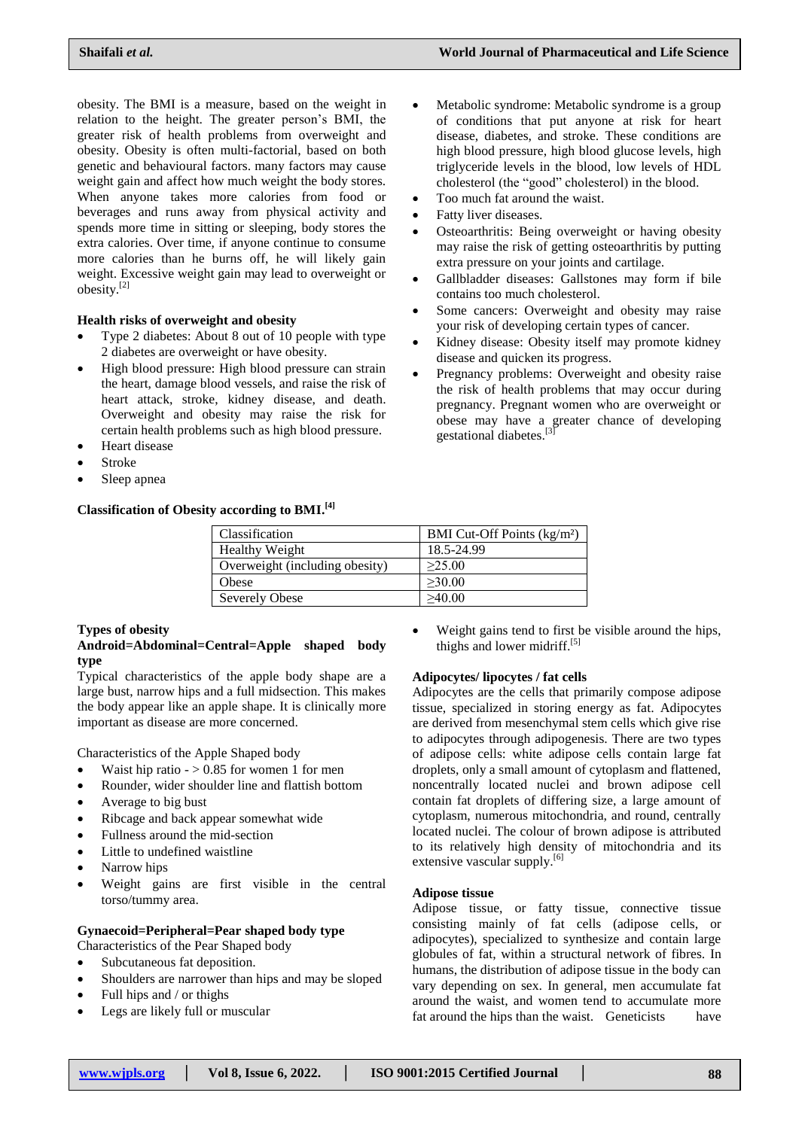Metabolic syndrome: Metabolic syndrome is a group of conditions that put anyone at risk for heart disease, diabetes, and stroke. These conditions are high blood pressure, high blood glucose levels, high triglyceride levels in the blood, low levels of HDL cholesterol (the "good" cholesterol) in the blood.

 Osteoarthritis: Being overweight or having obesity may raise the risk of getting osteoarthritis by putting

Gallbladder diseases: Gallstones may form if bile

 Some cancers: Overweight and obesity may raise your risk of developing certain types of cancer. Kidney disease: Obesity itself may promote kidney

 Pregnancy problems: Overweight and obesity raise the risk of health problems that may occur during pregnancy. Pregnant women who are overweight or obese may have a greater chance of developing

extra pressure on your joints and cartilage.

Too much fat around the waist.

contains too much cholesterol.

disease and quicken its progress.

gestational diabetes.<sup>[3]</sup>

Fatty liver diseases.

obesity. The BMI is a measure, based on the weight in relation to the height. The greater person"s BMI, the greater risk of health problems from overweight and obesity. Obesity is often multi-factorial, based on both genetic and behavioural factors. many factors may cause weight gain and affect how much weight the body stores. When anyone takes more calories from food or beverages and runs away from physical activity and spends more time in sitting or sleeping, body stores the extra calories. Over time, if anyone continue to consume more calories than he burns off, he will likely gain weight. Excessive weight gain may lead to overweight or obesity.[2]

# **Health risks of overweight and obesity**

- Type 2 diabetes: About 8 out of 10 people with type 2 diabetes are overweight or have obesity.
- High blood pressure: High blood pressure can strain the heart, damage blood vessels, and raise the risk of heart attack, stroke, kidney disease, and death. Overweight and obesity may raise the risk for certain health problems such as high blood pressure.
- Heart disease
- Stroke
- Sleep apnea

# **Classification of Obesity according to BMI. [4]**

Classification BMI Cut-Off Points (kg/m²) Healthy Weight 18.5-24.99 Overweight (including obesity)  $| \geq 25.00$ Obese  $\vert$  >30.00 Severely Obese 240.00

# **Types of obesity**

**Android=Abdominal=Central=Apple shaped body type**

Typical characteristics of the apple body shape are a large bust, narrow hips and a full midsection. This makes the body appear like an apple shape. It is clinically more important as disease are more concerned.

Characteristics of the Apple Shaped body

- Waist hip ratio  $-$  > 0.85 for women 1 for men
- Rounder, wider shoulder line and flattish bottom
- Average to big bust
- Ribcage and back appear somewhat wide
- Fullness around the mid-section
- Little to undefined waistline
- Narrow hips
- Weight gains are first visible in the central torso/tummy area.

# **Gynaecoid=Peripheral=Pear shaped body type**

- Characteristics of the Pear Shaped body
- Subcutaneous fat deposition.
- Shoulders are narrower than hips and may be sloped
- Full hips and / or thighs
- Legs are likely full or muscular

 Weight gains tend to first be visible around the hips, thighs and lower midriff.<sup>[5]</sup>

# **Adipocytes/ lipocytes / fat cells**

Adipocytes are the cells that primarily compose adipose tissue, specialized in storing energy as fat. Adipocytes are derived from mesenchymal stem cells which give rise to adipocytes through adipogenesis. There are two types of adipose cells: white adipose cells contain large fat droplets, only a small amount of cytoplasm and flattened, noncentrally located nuclei and brown adipose cell contain fat droplets of differing size, a large amount of cytoplasm, numerous mitochondria, and round, centrally located nuclei. The colour of brown adipose is attributed to its relatively high density of mitochondria and its extensive vascular supply.<sup>[6]</sup>

### **Adipose tissue**

Adipose tissue, or fatty tissue, connective tissue consisting mainly of fat cells (adipose cells, or adipocytes), specialized to synthesize and contain large globules of fat, within a structural network of fibres. In humans, the distribution of adipose tissue in the body can vary depending on sex. In general, men accumulate fat around the waist, and women tend to accumulate more fat around the hips than the waist. Geneticists have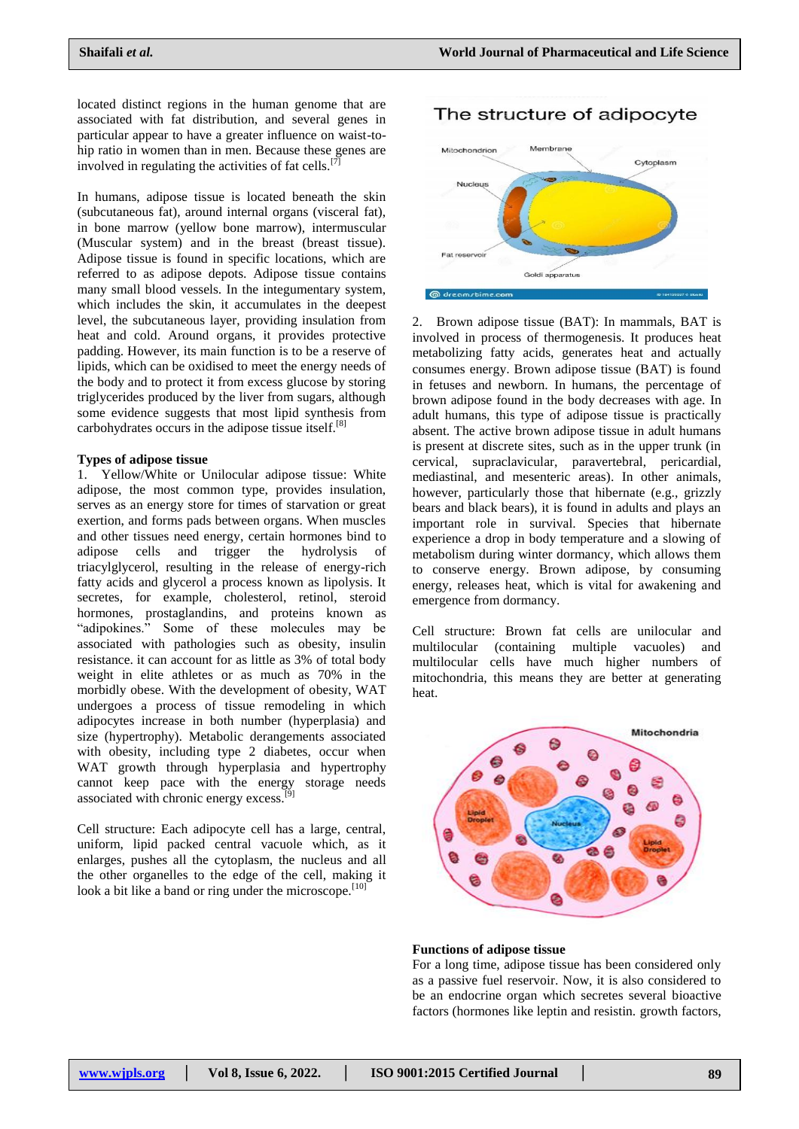located distinct regions in the human genome that are associated with fat distribution, and several genes in particular appear to have a greater influence on waist-tohip ratio in women than in men. Because these genes are involved in regulating the activities of fat cells.<sup>[7]</sup>

In humans, adipose tissue is located beneath the skin (subcutaneous fat), around internal organs (visceral fat), in bone marrow (yellow bone marrow), intermuscular (Muscular system) and in the breast (breast tissue). Adipose tissue is found in specific locations, which are referred to as adipose depots. Adipose tissue contains many small blood vessels. In the integumentary system, which includes the skin, it accumulates in the deepest level, the subcutaneous layer, providing insulation from heat and cold. Around organs, it provides protective padding. However, its main function is to be a reserve of lipids, which can be oxidised to meet the energy needs of the body and to protect it from excess glucose by storing triglycerides produced by the liver from sugars, although some evidence suggests that most lipid synthesis from carbohydrates occurs in the adipose tissue itself.<sup>[8]</sup>

### **Types of adipose tissue**

1. Yellow/White or Unilocular adipose tissue: White adipose, the most common type, provides insulation, serves as an energy store for times of starvation or great exertion, and forms pads between organs. When muscles and other tissues need energy, certain hormones bind to adipose cells and trigger the hydrolysis of triacylglycerol, resulting in the release of energy-rich fatty acids and glycerol a process known as lipolysis. It secretes, for example, cholesterol, retinol, steroid hormones, prostaglandins, and proteins known as "adipokines." Some of these molecules may be associated with pathologies such as obesity, insulin resistance. it can account for as little as 3% of total body weight in elite athletes or as much as 70% in the morbidly obese. With the development of obesity, WAT undergoes a process of tissue remodeling in which adipocytes increase in both number (hyperplasia) and size (hypertrophy). Metabolic derangements associated with obesity, including type 2 diabetes, occur when WAT growth through hyperplasia and hypertrophy cannot keep pace with the energy storage needs associated with chronic energy excess.

Cell structure: Each adipocyte cell has a large, central, uniform, lipid packed central vacuole which, as it enlarges, pushes all the cytoplasm, the nucleus and all the other organelles to the edge of the cell, making it look a bit like a band or ring under the microscope. $[10]$ 

# The structure of adipocyte



2. Brown adipose tissue (BAT): In mammals, BAT is involved in process of thermogenesis. It produces heat metabolizing fatty acids, generates heat and actually consumes energy. Brown adipose tissue (BAT) is found in fetuses and newborn. In humans, the percentage of brown adipose found in the body decreases with age. In adult humans, this type of adipose tissue is practically absent. The active brown adipose tissue in adult humans is present at discrete sites, such as in the upper trunk (in cervical, supraclavicular, paravertebral, pericardial, mediastinal, and mesenteric areas). In other animals, however, particularly those that hibernate (e.g., grizzly bears and black bears), it is found in adults and plays an important role in survival. Species that hibernate experience a drop in body temperature and a slowing of metabolism during winter dormancy, which allows them to conserve energy. Brown adipose, by consuming energy, releases heat, which is vital for awakening and emergence from dormancy.

Cell structure: Brown fat cells are unilocular and multilocular (containing multiple vacuoles) and multilocular cells have much higher numbers of mitochondria, this means they are better at generating heat.



### **Functions of adipose tissue**

For a long time, adipose tissue has been considered only as a passive fuel reservoir. Now, it is also considered to be an endocrine organ which secretes several bioactive factors (hormones like leptin and resistin. growth factors,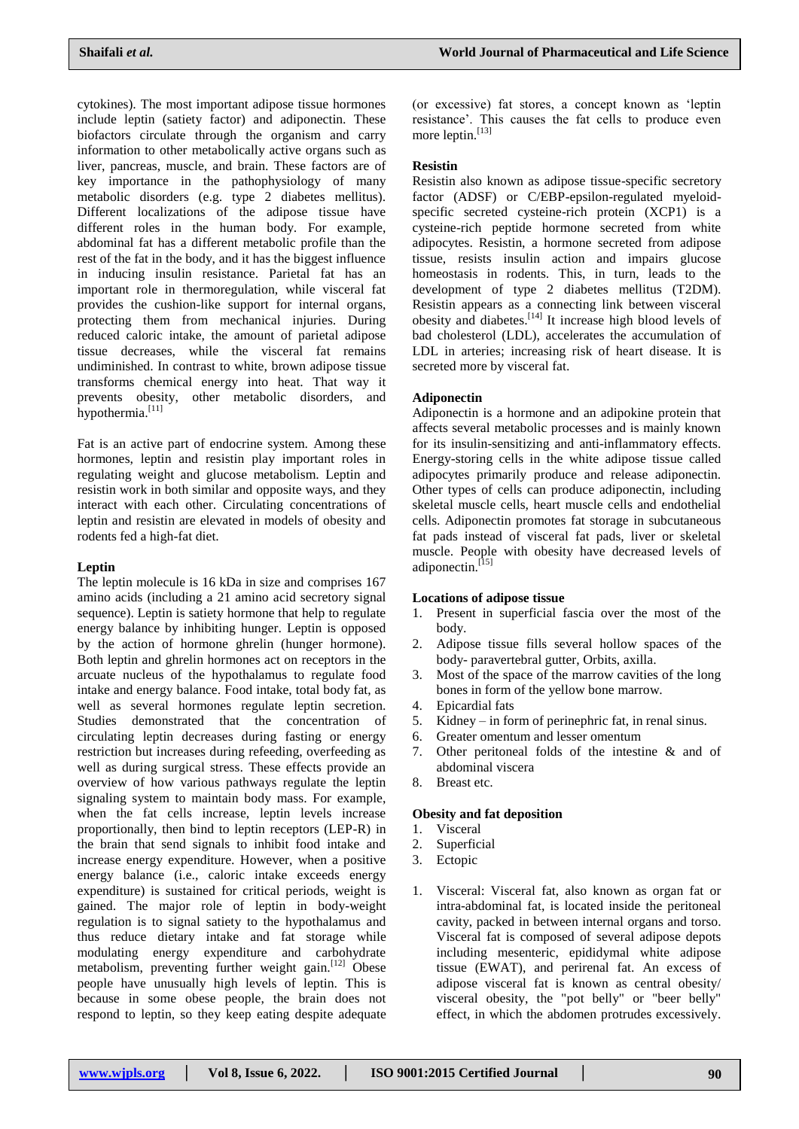cytokines). The most important adipose tissue hormones include leptin (satiety factor) and adiponectin. These biofactors circulate through the organism and carry information to other metabolically active organs such as liver, pancreas, muscle, and brain. These factors are of key importance in the pathophysiology of many metabolic disorders (e.g. type 2 diabetes mellitus). Different localizations of the adipose tissue have different roles in the human body. For example, abdominal fat has a different metabolic profile than the rest of the fat in the body, and it has the biggest influence in inducing insulin resistance. Parietal fat has an important role in thermoregulation, while visceral fat provides the cushion-like support for internal organs, protecting them from mechanical injuries. During reduced caloric intake, the amount of parietal adipose tissue decreases, while the visceral fat remains undiminished. In contrast to white, brown adipose tissue transforms chemical energy into heat. That way it prevents obesity, other metabolic disorders, and hypothermia.<sup>[11]</sup>

Fat is an active part of endocrine system. Among these hormones, leptin and resistin play important roles in regulating weight and glucose metabolism. Leptin and resistin work in both similar and opposite ways, and they interact with each other. Circulating concentrations of leptin and resistin are elevated in models of obesity and rodents fed a high-fat diet.

# **Leptin**

The leptin molecule is 16 kDa in size and comprises 167 amino acids (including a 21 amino acid secretory signal sequence). Leptin is satiety hormone that help to regulate energy balance by inhibiting hunger. Leptin is opposed by the action of hormone ghrelin (hunger hormone). Both leptin and ghrelin hormones act on receptors in the arcuate nucleus of the hypothalamus to regulate food intake and energy balance. Food intake, total body fat, as well as several hormones regulate leptin secretion. Studies demonstrated that the concentration of circulating leptin decreases during fasting or energy restriction but increases during refeeding, overfeeding as well as during surgical stress. These effects provide an overview of how various pathways regulate the leptin signaling system to maintain body mass. For example, when the fat cells increase, leptin levels increase proportionally, then bind to leptin receptors (LEP-R) in the brain that send signals to inhibit food intake and increase energy expenditure. However, when a positive energy balance (i.e., caloric intake exceeds energy expenditure) is sustained for critical periods, weight is gained. The major role of leptin in body-weight regulation is to signal satiety to the hypothalamus and thus reduce dietary intake and fat storage while modulating energy expenditure and carbohydrate metabolism, preventing further weight gain.<sup>[12]</sup> Obese people have unusually high levels of leptin. This is because in some obese people, the brain does not respond to leptin, so they keep eating despite adequate (or excessive) fat stores, a concept known as "leptin resistance". This causes the fat cells to produce even more leptin.<sup>[13]</sup>

# **Resistin**

Resistin also known as adipose tissue-specific secretory factor (ADSF) or C/EBP-epsilon-regulated myeloidspecific secreted cysteine-rich protein (XCP1) is a cysteine-rich peptide hormone secreted from white adipocytes. Resistin, a hormone secreted from adipose tissue, resists insulin action and impairs glucose homeostasis in rodents. This, in turn, leads to the development of type 2 diabetes mellitus (T2DM). Resistin appears as a connecting link between visceral obesity and diabetes.[14] It increase high blood levels of bad cholesterol (LDL), accelerates the accumulation of LDL in arteries; increasing risk of heart disease. It is secreted more by visceral fat.

# **Adiponectin**

Adiponectin is a hormone and an adipokine protein that affects several metabolic processes and is mainly known for its insulin-sensitizing and anti-inflammatory effects. Energy-storing cells in the white adipose tissue called adipocytes primarily produce and release adiponectin. Other types of cells can produce adiponectin, including skeletal muscle cells, heart muscle cells and endothelial cells. Adiponectin promotes fat storage in subcutaneous fat pads instead of visceral fat pads, liver or skeletal muscle. People with obesity have decreased levels of adiponectin.<sup>[15]</sup>

# **Locations of adipose tissue**

- 1. Present in superficial fascia over the most of the body.
- 2. Adipose tissue fills several hollow spaces of the body- paravertebral gutter, Orbits, axilla.
- 3. Most of the space of the marrow cavities of the long bones in form of the yellow bone marrow.
- 4. Epicardial fats
- 5. Kidney in form of perinephric fat, in renal sinus.
- 6. Greater omentum and lesser omentum
- 7. Other peritoneal folds of the intestine & and of abdominal viscera
- 8. Breast etc.

# **Obesity and fat deposition**

- 1. Visceral
- 2. Superficial
- 3. Ectopic
- 1. Visceral: Visceral fat, also known as organ fat or intra-abdominal fat, is located inside the peritoneal cavity, packed in between internal organs and torso. Visceral fat is composed of several adipose depots including mesenteric, epididymal white adipose tissue (EWAT), and perirenal fat. An excess of adipose visceral fat is known as central obesity/ visceral obesity, the "pot belly" or "beer belly" effect, in which the abdomen protrudes excessively.